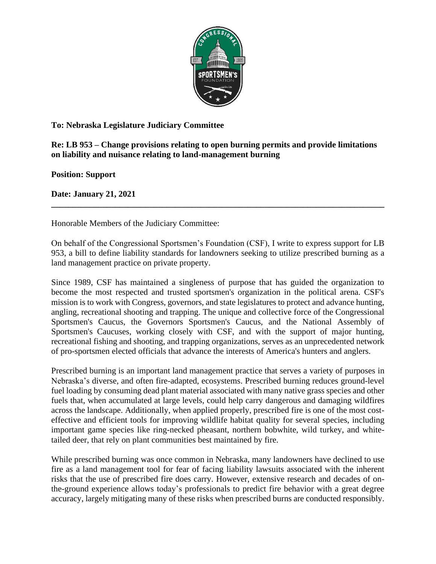

## **To: Nebraska Legislature Judiciary Committee**

## **Re: LB 953 – Change provisions relating to open burning permits and provide limitations on liability and nuisance relating to land-management burning**

**Position: Support** 

**Date: January 21, 2021**

Honorable Members of the Judiciary Committee:

On behalf of the Congressional Sportsmen's Foundation (CSF), I write to express support for LB 953, a bill to define liability standards for landowners seeking to utilize prescribed burning as a land management practice on private property.

**\_\_\_\_\_\_\_\_\_\_\_\_\_\_\_\_\_\_\_\_\_\_\_\_\_\_\_\_\_\_\_\_\_\_\_\_\_\_\_\_\_\_\_\_\_\_\_\_\_\_\_\_\_\_\_\_\_\_\_\_\_\_\_\_\_\_\_\_\_\_\_\_\_\_\_\_\_\_**

Since 1989, CSF has maintained a singleness of purpose that has guided the organization to become the most respected and trusted sportsmen's organization in the political arena. CSF's mission is to work with Congress, governors, and state legislatures to protect and advance hunting, angling, recreational shooting and trapping. The unique and collective force of the Congressional Sportsmen's Caucus, the Governors Sportsmen's Caucus, and the National Assembly of Sportsmen's Caucuses, working closely with CSF, and with the support of major hunting, recreational fishing and shooting, and trapping organizations, serves as an unprecedented network of pro-sportsmen elected officials that advance the interests of America's hunters and anglers.

Prescribed burning is an important land management practice that serves a variety of purposes in Nebraska's diverse, and often fire-adapted, ecosystems. Prescribed burning reduces ground-level fuel loading by consuming dead plant material associated with many native grass species and other fuels that, when accumulated at large levels, could help carry dangerous and damaging wildfires across the landscape. Additionally, when applied properly, prescribed fire is one of the most costeffective and efficient tools for improving wildlife habitat quality for several species, including important game species like ring-necked pheasant, northern bobwhite, wild turkey, and whitetailed deer, that rely on plant communities best maintained by fire.

While prescribed burning was once common in Nebraska, many landowners have declined to use fire as a land management tool for fear of facing liability lawsuits associated with the inherent risks that the use of prescribed fire does carry. However, extensive research and decades of onthe-ground experience allows today's professionals to predict fire behavior with a great degree accuracy, largely mitigating many of these risks when prescribed burns are conducted responsibly.